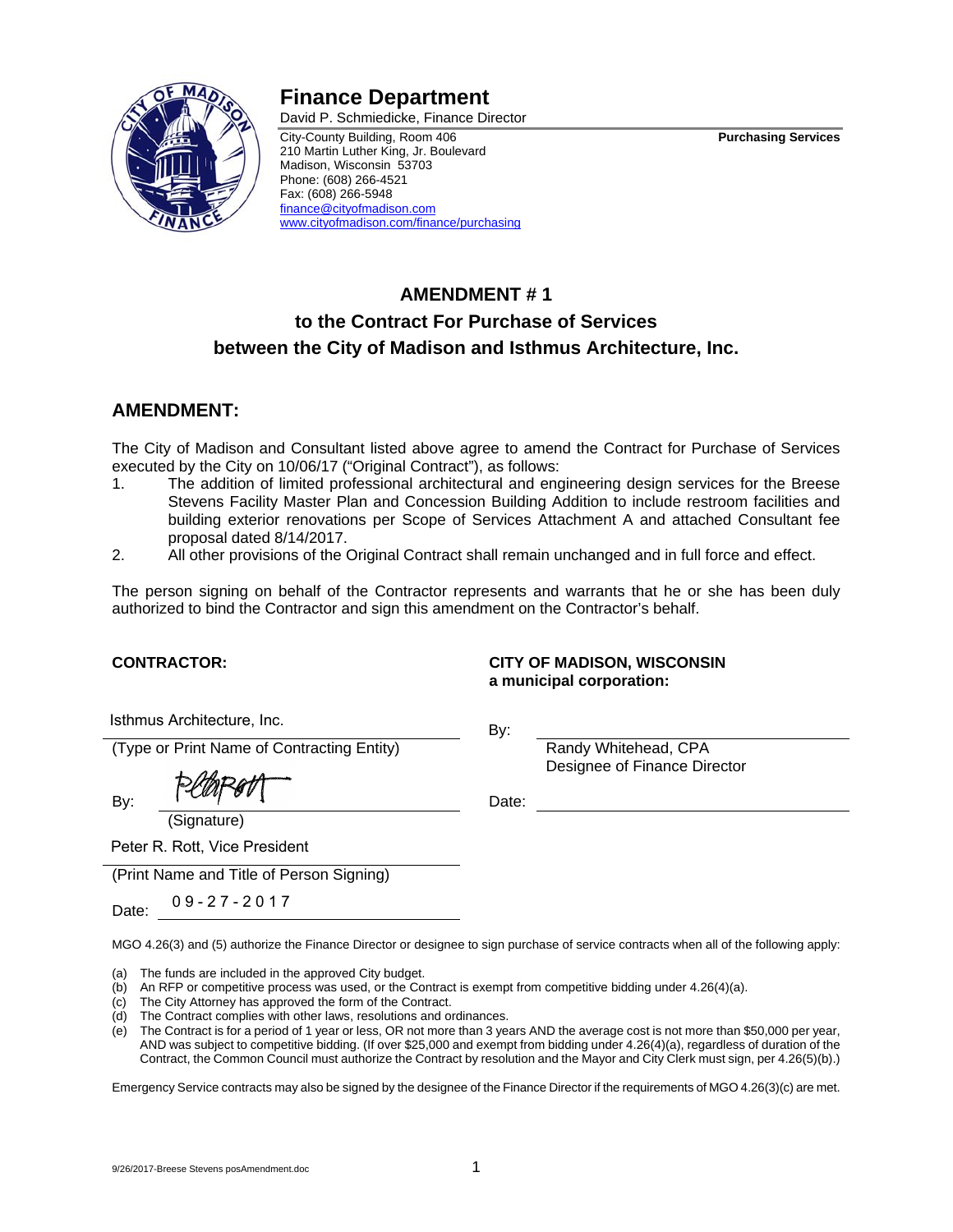# **Finance Department**  David P. Schmiedicke, Finance Director

City-County Building, Room 406 **Purchasing Services**  210 Martin Luther King, Jr. Boulevard Madison, Wisconsin 53703 Phone: (608) 266-4521 Fax: (608) 266-5948 finance@cityofmadison.com www.cityofmadison.com/finance/purchasing

# **AMENDMENT # 1**

# **to the Contract For Purchase of Services between the City of Madison and Isthmus Architecture, Inc.**

# **AMENDMENT:**

The City of Madison and Consultant listed above agree to amend the Contract for Purchase of Services executed by the City on 10/06/17 ("Original Contract"), as follows:

- 1. The addition of limited professional architectural and engineering design services for the Breese Stevens Facility Master Plan and Concession Building Addition to include restroom facilities and building exterior renovations per Scope of Services Attachment A and attached Consultant fee proposal dated 8/14/2017.
- 2. All other provisions of the Original Contract shall remain unchanged and in full force and effect.

The person signing on behalf of the Contractor represents and warrants that he or she has been duly authorized to bind the Contractor and sign this amendment on the Contractor's behalf.

**CONTRACTOR: CITY OF MADISON, WISCONSIN a municipal corporation:** 

Designee of Finance Director

Isthmus Architecture, Inc.

(Type or Print Name of Contracting Entity) Randy Whitehead, CPA

 $By: \qquad \begin{cases} \begin{array}{ccc} \sqrt{2} & \sqrt{2} & \sqrt{2} \\ \sqrt{2} & \sqrt{2} & \sqrt{2} \\ \sqrt{2} & \sqrt{2} & \sqrt{2} \\ \sqrt{2} & \sqrt{2} & \sqrt{2} \\ \sqrt{2} & \sqrt{2} & \sqrt{2} \\ \sqrt{2} & \sqrt{2} & \sqrt{2} \\ \sqrt{2} & \sqrt{2} & \sqrt{2} \\ \sqrt{2} & \sqrt{2} & \sqrt{2} \\ \sqrt{2} & \sqrt{2} & \sqrt{2} \\ \sqrt{2} & \sqrt{2} & \sqrt{2} \\ \sqrt{2} & \sqrt{2} & \sqrt{2} \\ \sqrt{2}$ 

(Signature)

By:

Peter R. Rott, Vice President

(Print Name and Title of Person Signing)

Date: 09-27-2017

MGO 4.26(3) and (5) authorize the Finance Director or designee to sign purchase of service contracts when all of the following apply:

- (a) The funds are included in the approved City budget.
- (b) An RFP or competitive process was used, or the Contract is exempt from competitive bidding under 4.26(4)(a).
- (c) The City Attorney has approved the form of the Contract.
- (d) The Contract complies with other laws, resolutions and ordinances.
- (e) The Contract is for a period of 1 year or less, OR not more than 3 years AND the average cost is not more than \$50,000 per year, AND was subject to competitive bidding. (If over \$25,000 and exempt from bidding under 4.26(4)(a), regardless of duration of the Contract, the Common Council must authorize the Contract by resolution and the Mayor and City Clerk must sign, per 4.26(5)(b).)

Emergency Service contracts may also be signed by the designee of the Finance Director if the requirements of MGO 4.26(3)(c) are met.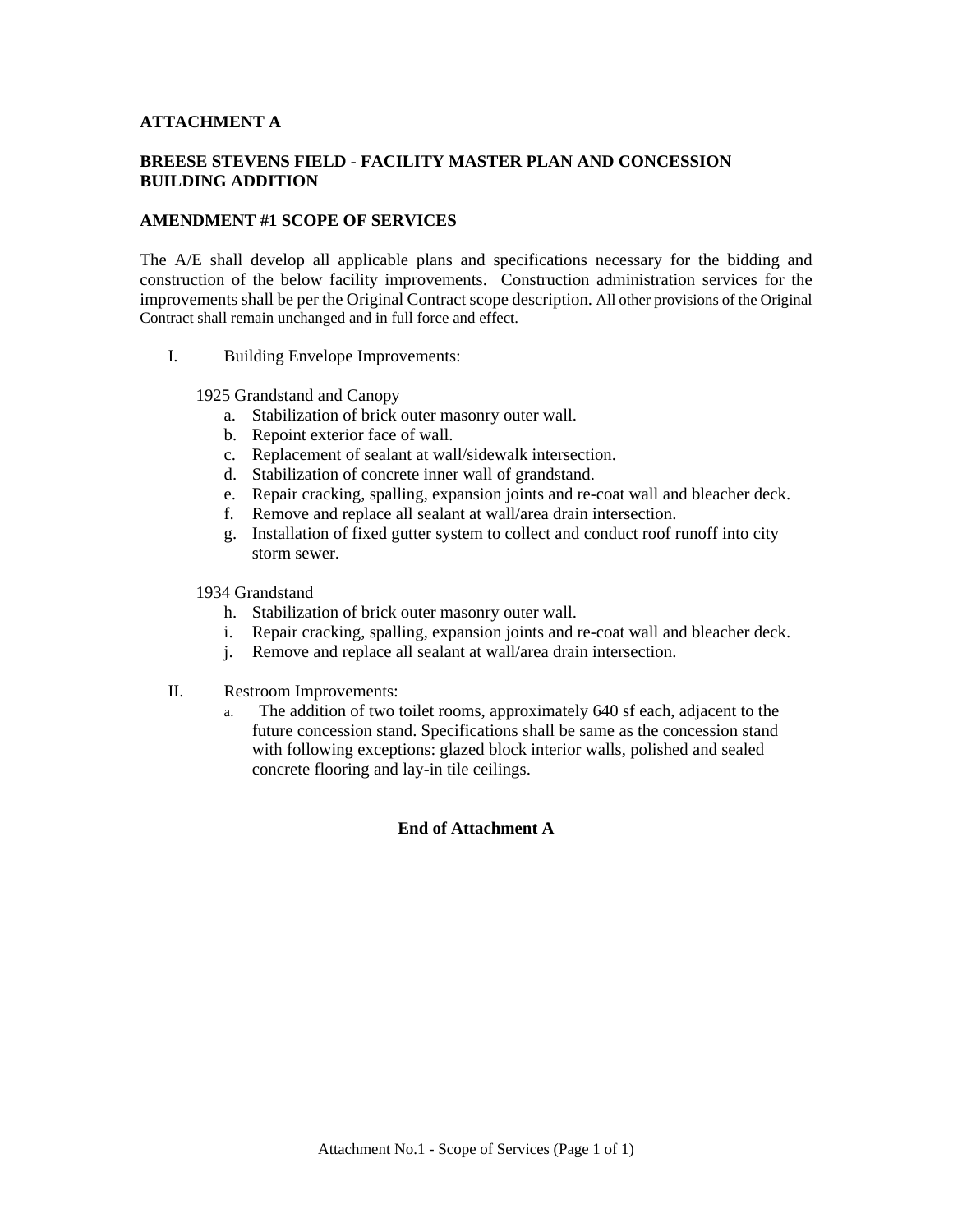## **ATTACHMENT A**

# **BREESE STEVENS FIELD - FACILITY MASTER PLAN AND CONCESSION BUILDING ADDITION**

## **AMENDMENT #1 SCOPE OF SERVICES**

The A/E shall develop all applicable plans and specifications necessary for the bidding and construction of the below facility improvements. Construction administration services for the improvements shall be per the Original Contract scope description. All other provisions of the Original Contract shall remain unchanged and in full force and effect.

I. Building Envelope Improvements:

#### 1925 Grandstand and Canopy

- a. Stabilization of brick outer masonry outer wall.
- b. Repoint exterior face of wall.
- c. Replacement of sealant at wall/sidewalk intersection.
- d. Stabilization of concrete inner wall of grandstand.
- e. Repair cracking, spalling, expansion joints and re-coat wall and bleacher deck.
- f. Remove and replace all sealant at wall/area drain intersection.
- g. Installation of fixed gutter system to collect and conduct roof runoff into city storm sewer.

## 1934 Grandstand

- h. Stabilization of brick outer masonry outer wall.
- i. Repair cracking, spalling, expansion joints and re-coat wall and bleacher deck.
- j. Remove and replace all sealant at wall/area drain intersection.
- II. Restroom Improvements:
	- a. The addition of two toilet rooms, approximately 640 sf each, adjacent to the future concession stand. Specifications shall be same as the concession stand with following exceptions: glazed block interior walls, polished and sealed concrete flooring and lay-in tile ceilings.

### **End of Attachment A**